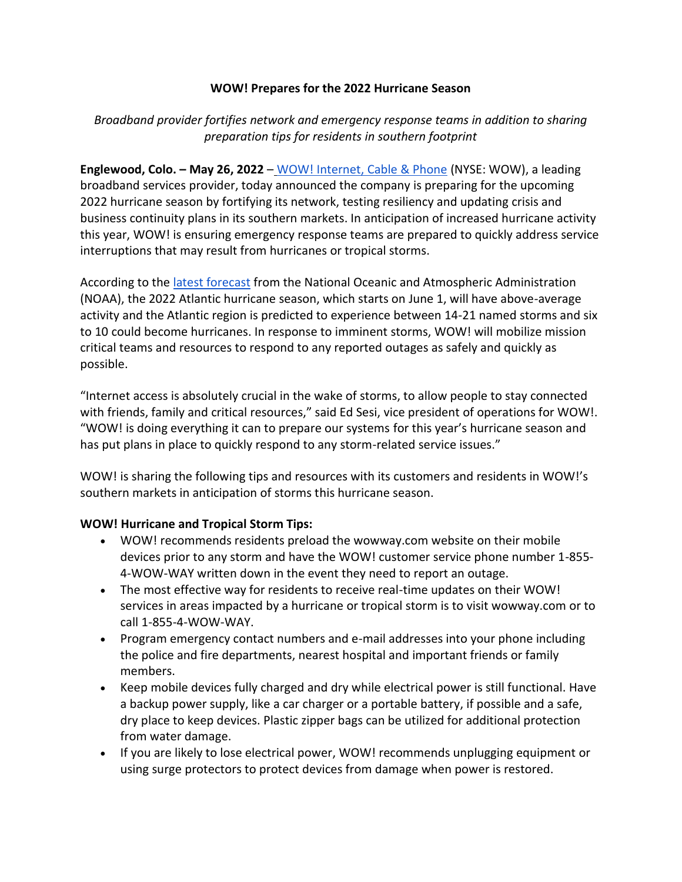## **WOW! Prepares for the 2022 Hurricane Season**

## *Broadband provider fortifies network and emergency response teams in addition to sharing preparation tips for residents in southern footprint*

**Englewood, Colo. – May 26, 2022** – [WOW! Internet, Cable & Phone](https://www.wowway.com/) (NYSE: WOW), a leading broadband services provider, today announced the company is preparing for the upcoming 2022 hurricane season by fortifying its network, testing resiliency and updating crisis and business continuity plans in its southern markets. In anticipation of increased hurricane activity this year, WOW! is ensuring emergency response teams are prepared to quickly address service interruptions that may result from hurricanes or tropical storms.

According to the [latest forecast](https://www.noaa.gov/news-release/noaa-predicts-above-normal-2022-atlantic-hurricane-season) from the National Oceanic and Atmospheric Administration (NOAA), the 2022 Atlantic hurricane season, which starts on June 1, will have above-average activity and the Atlantic region is predicted to experience between 14-21 named storms and six to 10 could become hurricanes. In response to imminent storms, WOW! will mobilize mission critical teams and resources to respond to any reported outages as safely and quickly as possible.

"Internet access is absolutely crucial in the wake of storms, to allow people to stay connected with friends, family and critical resources," said Ed Sesi, vice president of operations for WOW!. "WOW! is doing everything it can to prepare our systems for this year's hurricane season and has put plans in place to quickly respond to any storm-related service issues."

WOW! is sharing the following tips and resources with its customers and residents in WOW!'s southern markets in anticipation of storms this hurricane season.

## **WOW! Hurricane and Tropical Storm Tips:**

- WOW! recommends residents preload the wowway.com website on their mobile devices prior to any storm and have the WOW! customer service phone number 1-855- 4-WOW-WAY written down in the event they need to report an outage.
- The most effective way for residents to receive real-time updates on their WOW! services in areas impacted by a hurricane or tropical storm is to visit wowway.com or to call 1-855-4-WOW-WAY.
- Program emergency contact numbers and e-mail addresses into your phone including the police and fire departments, nearest hospital and important friends or family members.
- Keep mobile devices fully charged and dry while electrical power is still functional. Have a backup power supply, like a car charger or a portable battery, if possible and a safe, dry place to keep devices. Plastic zipper bags can be utilized for additional protection from water damage.
- If you are likely to lose electrical power, WOW! recommends unplugging equipment or using surge protectors to protect devices from damage when power is restored.